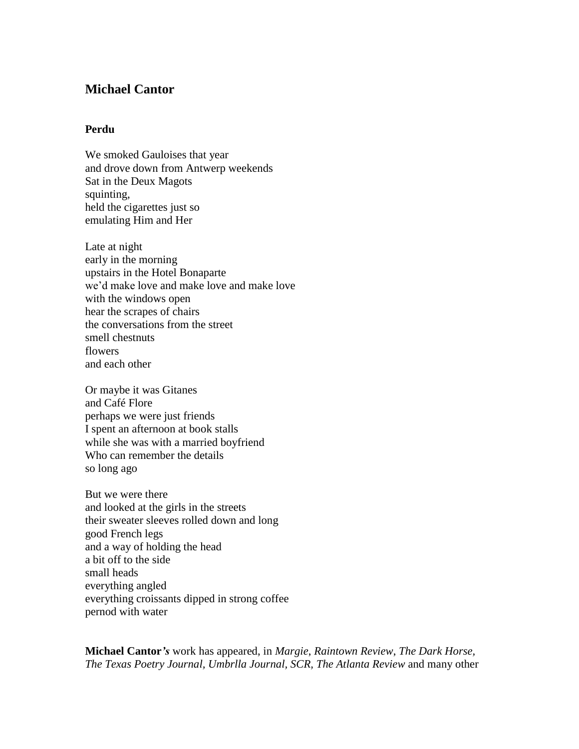## **Michael Cantor**

## **Perdu**

We smoked Gauloises that year and drove down from Antwerp weekends Sat in the Deux Magots squinting, held the cigarettes just so emulating Him and Her

Late at night early in the morning upstairs in the Hotel Bonaparte we'd make love and make love and make love with the windows open hear the scrapes of chairs the conversations from the street smell chestnuts flowers and each other

Or maybe it was Gitanes and Café Flore perhaps we were just friends I spent an afternoon at book stalls while she was with a married boyfriend Who can remember the details so long ago

But we were there and looked at the girls in the streets their sweater sleeves rolled down and long good French legs and a way of holding the head a bit off to the side small heads everything angled everything croissants dipped in strong coffee pernod with water

**Michael Cantor***'s* work has appeared, in *Margie*, *Raintown Review*, *The Dark Horse, The Texas Poetry Journal, Umbrlla Journal, SCR, The Atlanta Review* and many other